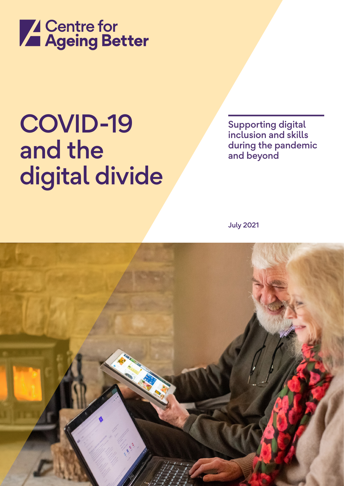

## COVID-19 and the digital divide

Supporting digital inclusion and skills during the pandemic and beyond

July 2021

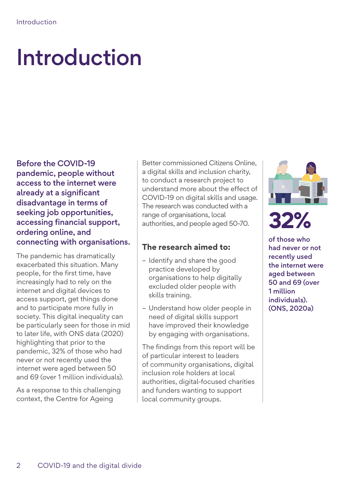## Introduction

Before the COVID-19 pandemic, people without access to the internet were already at a significant disadvantage in terms of seeking job opportunities, accessing financial support, ordering online, and connecting with organisations.

The pandemic has dramatically exacerbated this situation. Many people, for the first time, have increasingly had to rely on the internet and digital devices to access support, get things done and to participate more fully in society. This digital inequality can be particularly seen for those in mid to later life, with ONS data (2020) highlighting that prior to the pandemic, 32% of those who had never or not recently used the internet were aged between 50 and 69 (over 1 million individuals).

As a response to this challenging context, the Centre for Ageing

Better commissioned Citizens Online, a digital skills and inclusion charity, to conduct a research project to understand more about the effect of COVID-19 on digital skills and usage. The research was conducted with a range of organisations, local authorities, and people aged 50-70.

#### **The research aimed to:**

- Identify and share the good practice developed by organisations to help digitally excluded older people with skills training.
- Understand how older people in need of digital skills support have improved their knowledge by engaging with organisations.

The findings from this report will be of particular interest to leaders of community organisations, digital inclusion role holders at local authorities, digital-focused charities and funders wanting to support local community groups.



### **32%**

of those who had never or not recently used the internet were aged between 50 and 69 (over 1 million individuals). (ONS, 2020a)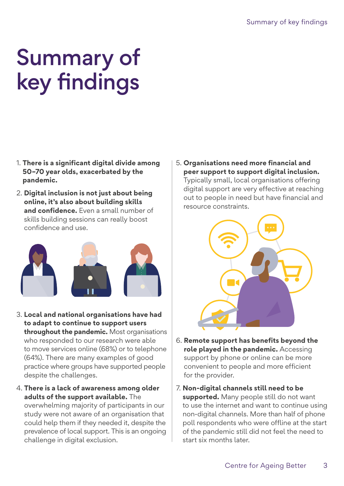### Summary of key findings

- 1. **There is a significant digital divide among 50–70 year olds, exacerbated by the pandemic.**
- 2. **Digital inclusion is not just about being online, it's also about building skills and confidence.** Even a small number of skills building sessions can really boost confidence and use.



- 3. **Local and national organisations have had to adapt to continue to support users throughout the pandemic.** Most organisations who responded to our research were able to move services online (68%) or to telephone (64%). There are many examples of good practice where groups have supported people despite the challenges.
- 4. **There is a lack of awareness among older adults of the support available.** The overwhelming majority of participants in our study were not aware of an organisation that could help them if they needed it, despite the prevalence of local support. This is an ongoing challenge in digital exclusion.

5. **Organisations need more financial and peer support to support digital inclusion.** Typically small, local organisations offering digital support are very effective at reaching out to people in need but have financial and resource constraints.



- 6. **Remote support has benefits beyond the role played in the pandemic.** Accessing support by phone or online can be more convenient to people and more efficient for the provider.
- 7. **Non-digital channels still need to be supported.** Many people still do not want to use the internet and want to continue using non-digital channels. More than half of phone poll respondents who were offline at the start of the pandemic still did not feel the need to start six months later.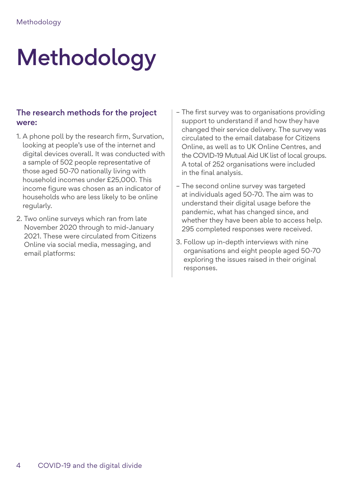# Methodology

#### The research methods for the project were:

- 1. A phone poll by the research firm, Survation, looking at people's use of the internet and digital devices overall. It was conducted with a sample of 502 people representative of those aged 50-70 nationally living with household incomes under £25,000. This income figure was chosen as an indicator of households who are less likely to be online regularly.
- 2. Two online surveys which ran from late November 2020 through to mid-January 2021. These were circulated from Citizens Online via social media, messaging, and email platforms:
- The first survey was to organisations providing support to understand if and how they have changed their service delivery. The survey was circulated to the email database for Citizens Online, as well as to UK Online Centres, and the COVID-19 Mutual Aid UK list of local groups. A total of 252 organisations were included in the final analysis.
- The second online survey was targeted at individuals aged 50-70. The aim was to understand their digital usage before the pandemic, what has changed since, and whether they have been able to access help. 295 completed responses were received.
- 3. Follow up in-depth interviews with nine organisations and eight people aged 50-70 exploring the issues raised in their original responses.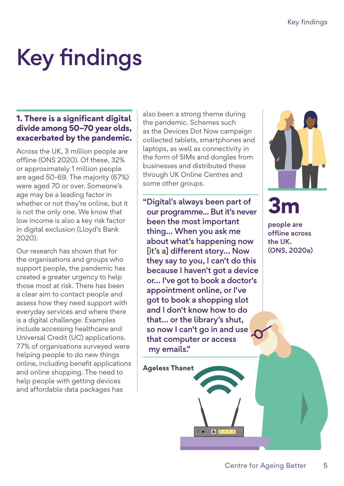# Key findings

#### **1. There is a significant digital divide among 50–70 year olds, exacerbated by the pandemic.**

Across the UK, 3 million people are offline (ONS 2020). Of these, 32% or approximately 1 million people are aged 50-69. The majority (67%) were aged 70 or over. Someone's age may be a leading factor in whether or not they're online, but it is not the only one. We know that low income is also a key risk factor in digital exclusion (Lloyd's Bank 2020).

Our research has shown that for the organisations and groups who support people, the pandemic has created a greater urgency to help those most at risk. There has been a clear aim to contact people and assess how they need support with everyday services and where there is a digital challenge. Examples include accessing healthcare and Universal Credit (UC) applications. 77% of organisations surveyed were helping people to do new things online, including benefit applications and online shopping. The need to help people with getting devices and affordable data packages has

also been a strong theme during the pandemic. Schemes such as the Devices Dot Now campaign collected tablets, smartphones and laptops, as well as connectivity in the form of SIMs and dongles from businesses and distributed these through UK Online Centres and some other groups.

"Digital's always been part of our programme... But it's never been the most important thing… When you ask me about what's happening now [it's a] different story... Now they say to you, I can't do this because I haven't got a device or… I've got to book a doctor's appointment online, or I've got to book a shopping slot and I don't know how to do that… or the library's shut, so now I can't go in and use that computer or access my emails."

ш



**3m**

people are offline across the UK. (ONS, 2020a)

**Ageless Thanet**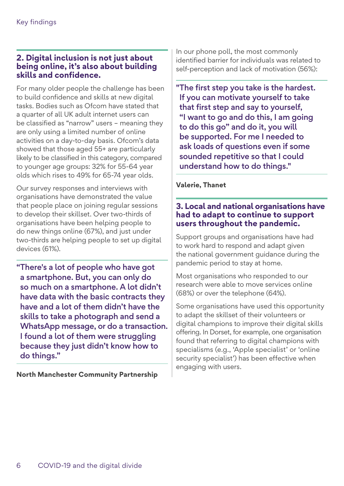#### **2. Digital inclusion is not just about being online, it's also about building skills and confidence.**

For many older people the challenge has been to build confidence and skills at new digital tasks. Bodies such as Ofcom have stated that a quarter of all UK adult internet users can be classified as "narrow" users – meaning they are only using a limited number of online activities on a day-to-day basis. Ofcom's data showed that those aged 55+ are particularly likely to be classified in this category, compared to younger age groups: 32% for 55-64 year olds which rises to 49% for 65-74 year olds.

Our survey responses and interviews with organisations have demonstrated the value that people place on joining regular sessions to develop their skillset. Over two-thirds of organisations have been helping people to do new things online (67%), and just under two-thirds are helping people to set up digital devices (61%).

"There's a lot of people who have got a smartphone. But, you can only do so much on a smartphone. A lot didn't have data with the basic contracts they have and a lot of them didn't have the skills to take a photograph and send a WhatsApp message, or do a transaction. I found a lot of them were struggling because they just didn't know how to do things."

**North Manchester Community Partnership**

In our phone poll, the most commonly identified barrier for individuals was related to self-perception and lack of motivation (56%):

"The first step you take is the hardest. If you can motivate yourself to take that first step and say to yourself, "I want to go and do this, I am going to do this go" and do it, you will be supported. For me I needed to ask loads of questions even if some sounded repetitive so that I could understand how to do things."

#### **Valerie, Thanet**

#### **3. Local and national organisations have had to adapt to continue to support users throughout the pandemic.**

Support groups and organisations have had to work hard to respond and adapt given the national government guidance during the pandemic period to stay at home.

Most organisations who responded to our research were able to move services online (68%) or over the telephone (64%).

Some organisations have used this opportunity to adapt the skillset of their volunteers or digital champions to improve their digital skills offering. In Dorset, for example, one organisation found that referring to digital champions with specialisms (e.g., 'Apple specialist' or 'online security specialist') has been effective when engaging with users.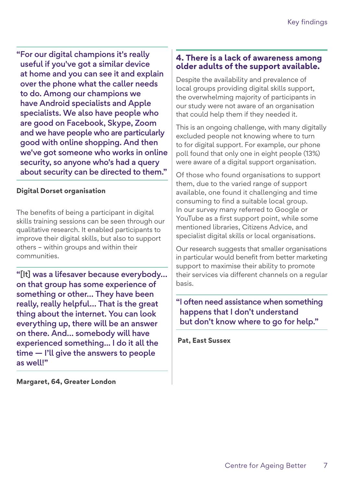"For our digital champions it's really useful if you've got a similar device at home and you can see it and explain over the phone what the caller needs to do. Among our champions we have Android specialists and Apple specialists. We also have people who are good on Facebook, Skype, Zoom and we have people who are particularly good with online shopping. And then we've got someone who works in online security, so anyone who's had a query about security can be directed to them."

#### **Digital Dorset organisation**

The benefits of being a participant in digital skills training sessions can be seen through our qualitative research. It enabled participants to improve their digital skills, but also to support others – within groups and within their communities.

"[It] was a lifesaver because everybody… on that group has some experience of something or other… They have been really, really helpful… That is the great thing about the internet. You can look everything up, there will be an answer on there. And… somebody will have experienced something... I do it all the time — I'll give the answers to people as well!"

**Margaret, 64, Greater London**

#### **4. There is a lack of awareness among older adults of the support available.**

Despite the availability and prevalence of local groups providing digital skills support, the overwhelming majority of participants in our study were not aware of an organisation that could help them if they needed it.

This is an ongoing challenge, with many digitally excluded people not knowing where to turn to for digital support. For example, our phone poll found that only one in eight people (13%) were aware of a digital support organisation.

Of those who found organisations to support them, due to the varied range of support available, one found it challenging and time consuming to find a suitable local group. In our survey many referred to Google or YouTube as a first support point, while some mentioned libraries, Citizens Advice, and specialist digital skills or local organisations.

Our research suggests that smaller organisations in particular would benefit from better marketing support to maximise their ability to promote their services via different channels on a regular basis.

"I often need assistance when something happens that I don't understand but don't know where to go for help."

 **Pat, East Sussex**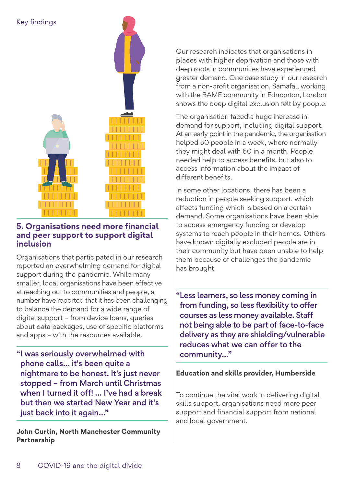

#### **5. Organisations need more financial and peer support to support digital inclusion**

Organisations that participated in our research reported an overwhelming demand for digital support during the pandemic. While many smaller, local organisations have been effective at reaching out to communities and people, a number have reported that it has been challenging to balance the demand for a wide range of digital support – from device loans, queries about data packages, use of specific platforms and apps – with the resources available.

"I was seriously overwhelmed with phone calls… it's been quite a nightmare to be honest. It's just never stopped – from March until Christmas when I turned it off! … I've had a break but then we started New Year and it's just back into it again…"

**John Curtin, North Manchester Community Partnership**

Our research indicates that organisations in places with higher deprivation and those with deep roots in communities have experienced greater demand. One case study in our research from a non-profit organisation, Samafal, working with the BAME community in Edmonton, London shows the deep digital exclusion felt by people.

The organisation faced a huge increase in demand for support, including digital support. At an early point in the pandemic, the organisation helped 50 people in a week, where normally they might deal with 60 in a month. People needed help to access benefits, but also to access information about the impact of different benefits.

In some other locations, there has been a reduction in people seeking support, which affects funding which is based on a certain demand. Some organisations have been able to access emergency funding or develop systems to reach people in their homes. Others have known digitally excluded people are in their community but have been unable to help them because of challenges the pandemic has brought.

"Less learners, so less money coming in from funding, so less flexibility to offer courses as less money available. Staff not being able to be part of face-to-face delivery as they are shielding/vulnerable reduces what we can offer to the community…"

#### **Education and skills provider, Humberside**

To continue the vital work in delivering digital skills support, organisations need more peer support and financial support from national and local government.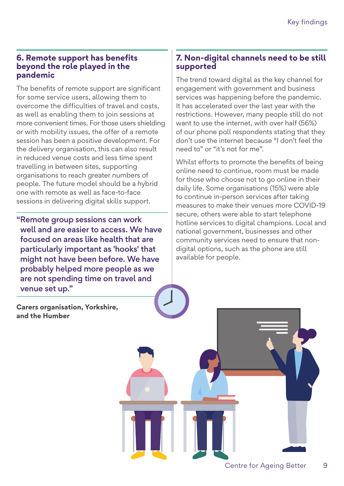#### **6. Remote support has benefits beyond the role played in the pandemic**

The benefits of remote support are significant for some service users, allowing them to overcome the difficulties of travel and costs, as well as enabling them to join sessions at more convenient times. For those users shielding or with mobility issues, the offer of a remote session has been a positive development. For the delivery organisation, this can also result in reduced venue costs and less time spent travelling in between sites, supporting organisations to reach greater numbers of people. The future model should be a hybrid one with remote as well as face-to-face sessions in delivering digital skills support.

"Remote group sessions can work well and are easier to access. We have focused on areas like health that are particularly important as 'hooks' that might not have been before. We have probably helped more people as we are not spending time on travel and venue set up."

**Carers organisation, Yorkshire, and the Humber**

#### **7. Non-digital channels need to be still supported**

The trend toward digital as the key channel for engagement with government and business services was happening before the pandemic. It has accelerated over the last year with the restrictions. However, many people still do not want to use the internet, with over half (56%) of our phone poll respondents stating that they don't use the internet because "I don't feel the need to" or "it's not for me".

Whilst efforts to promote the benefits of being online need to continue, room must be made for those who choose not to go online in their daily life. Some organisations (15%) were able to continue in-person services after taking measures to make their venues more COVID-19 secure, others were able to start telephone hotline services to digital champions. Local and national government, businesses and other community services need to ensure that nondigital options, such as the phone are still available for people.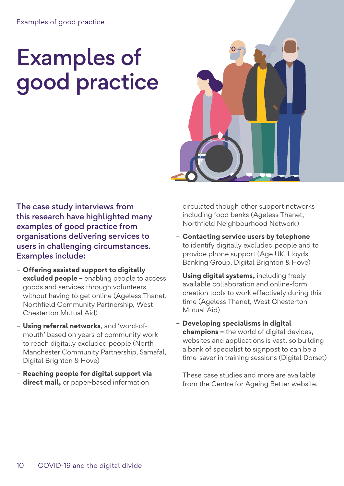## Examples of good practice



The case study interviews from this research have highlighted many examples of good practice from organisations delivering services to users in challenging circumstances. Examples include:

- **Offering assisted support to digitally excluded people –** enabling people to access goods and services through volunteers without having to get online (Ageless Thanet, Northfield Community Partnership, West Chesterton Mutual Aid)
- **Using referral networks**, and 'word-ofmouth' based on years of community work to reach digitally excluded people (North Manchester Community Partnership, Samafal, Digital Brighton & Hove)
- **Reaching people for digital support via direct mail,** or paper-based information

circulated though other support networks including food banks (Ageless Thanet, Northfield Neighbourhood Network)

- **Contacting service users by telephone** to identify digitally excluded people and to provide phone support (Age UK, Lloyds Banking Group, Digital Brighton & Hove)
- **Using digital systems,** including freely available collaboration and online-form creation tools to work effectively during this time (Ageless Thanet, West Chesterton Mutual Aid)
- **Developing specialisms in digital champions –** the world of digital devices, websites and applications is vast, so building a bank of specialist to signpost to can be a time-saver in training sessions (Digital Dorset)

These case studies and more are available from the Centre for Ageing Better website.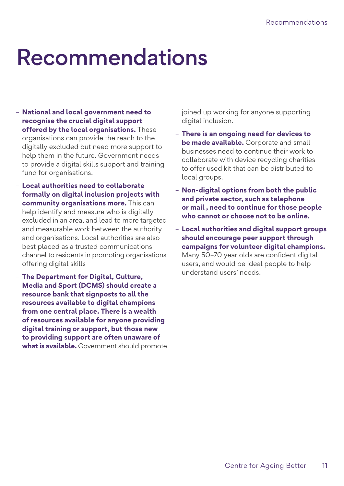### Recommendations

- **National and local government need to recognise the crucial digital support offered by the local organisations.** These organisations can provide the reach to the digitally excluded but need more support to help them in the future. Government needs to provide a digital skills support and training fund for organisations.
- **Local authorities need to collaborate formally on digital inclusion projects with community organisations more.** This can help identify and measure who is digitally excluded in an area, and lead to more targeted and measurable work between the authority and organisations. Local authorities are also best placed as a trusted communications channel to residents in promoting organisations offering digital skills
- **The Department for Digital, Culture, Media and Sport (DCMS) should create a resource bank that signposts to all the resources available to digital champions from one central place. There is a wealth of resources available for anyone providing digital training or support, but those new to providing support are often unaware of what is available.** Government should promote

joined up working for anyone supporting digital inclusion.

- **There is an ongoing need for devices to be made available.** Corporate and small businesses need to continue their work to collaborate with device recycling charities to offer used kit that can be distributed to local groups.
- **Non-digital options from both the public and private sector, such as telephone or mail , need to continue for those people who cannot or choose not to be online.**
- **Local authorities and digital support groups should encourage peer support through campaigns for volunteer digital champions.**  Many 50–70 year olds are confident digital users, and would be ideal people to help understand users' needs.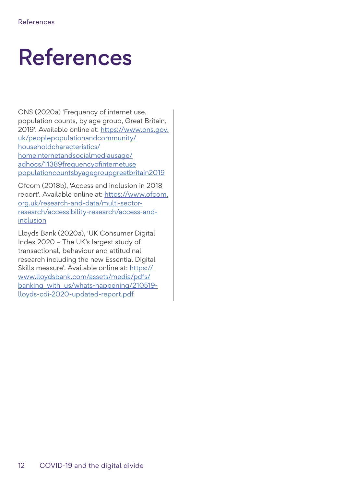### References

ONS (2020a) 'Frequency of internet use, population counts, by age group, Great Britain, 2019'. Available online at: [https://www.ons.gov.](https://www.ons.gov.uk/peoplepopulationandcommunity/householdcharacteristics/homeinternetandsocialmediausage/adhocs/11389frequencyofinternetusepopulationcountsbyagegroupgreatbritain2019) [uk/peoplepopulationandcommunity/](https://www.ons.gov.uk/peoplepopulationandcommunity/householdcharacteristics/homeinternetandsocialmediausage/adhocs/11389frequencyofinternetusepopulationcountsbyagegroupgreatbritain2019) [householdcharacteristics/](https://www.ons.gov.uk/peoplepopulationandcommunity/householdcharacteristics/homeinternetandsocialmediausage/adhocs/11389frequencyofinternetusepopulationcountsbyagegroupgreatbritain2019) [homeinternetandsocialmediausage/](https://www.ons.gov.uk/peoplepopulationandcommunity/householdcharacteristics/homeinternetandsocialmediausage/adhocs/11389frequencyofinternetusepopulationcountsbyagegroupgreatbritain2019) [adhocs/11389frequencyofinternetuse](https://www.ons.gov.uk/peoplepopulationandcommunity/householdcharacteristics/homeinternetandsocialmediausage/adhocs/11389frequencyofinternetusepopulationcountsbyagegroupgreatbritain2019) [populationcountsbyagegroupgreatbritain2019](https://www.ons.gov.uk/peoplepopulationandcommunity/householdcharacteristics/homeinternetandsocialmediausage/adhocs/11389frequencyofinternetusepopulationcountsbyagegroupgreatbritain2019)

Ofcom (2018b), 'Access and inclusion in 2018 report'. Available online at: [https://www.ofcom.](https://www.ofcom.org.uk/research-and-data/multi-sector-research/accessibility-research/access-and-inclusion) [org.uk/research-and-data/multi-sector](https://www.ofcom.org.uk/research-and-data/multi-sector-research/accessibility-research/access-and-inclusion)[research/accessibility-research/access-and](https://www.ofcom.org.uk/research-and-data/multi-sector-research/accessibility-research/access-and-inclusion)[inclusion](https://www.ofcom.org.uk/research-and-data/multi-sector-research/accessibility-research/access-and-inclusion)

Lloyds Bank (2020a), 'UK Consumer Digital Index 2020 – The UK's largest study of transactional, behaviour and attitudinal research including the new Essential Digital Skills measure'. Available online at: [https://](https://www.lloydsbank.com/assets/media/pdfs/banking_with_us/whats-happening/210519-lloyds-cdi-2020-updated-report.pdf) [www.lloydsbank.com/assets/media/pdfs/](https://www.lloydsbank.com/assets/media/pdfs/banking_with_us/whats-happening/210519-lloyds-cdi-2020-updated-report.pdf) banking with us/whats-happening/210519[lloyds-cdi-2020-updated-report.pdf](https://www.lloydsbank.com/assets/media/pdfs/banking_with_us/whats-happening/210519-lloyds-cdi-2020-updated-report.pdf)